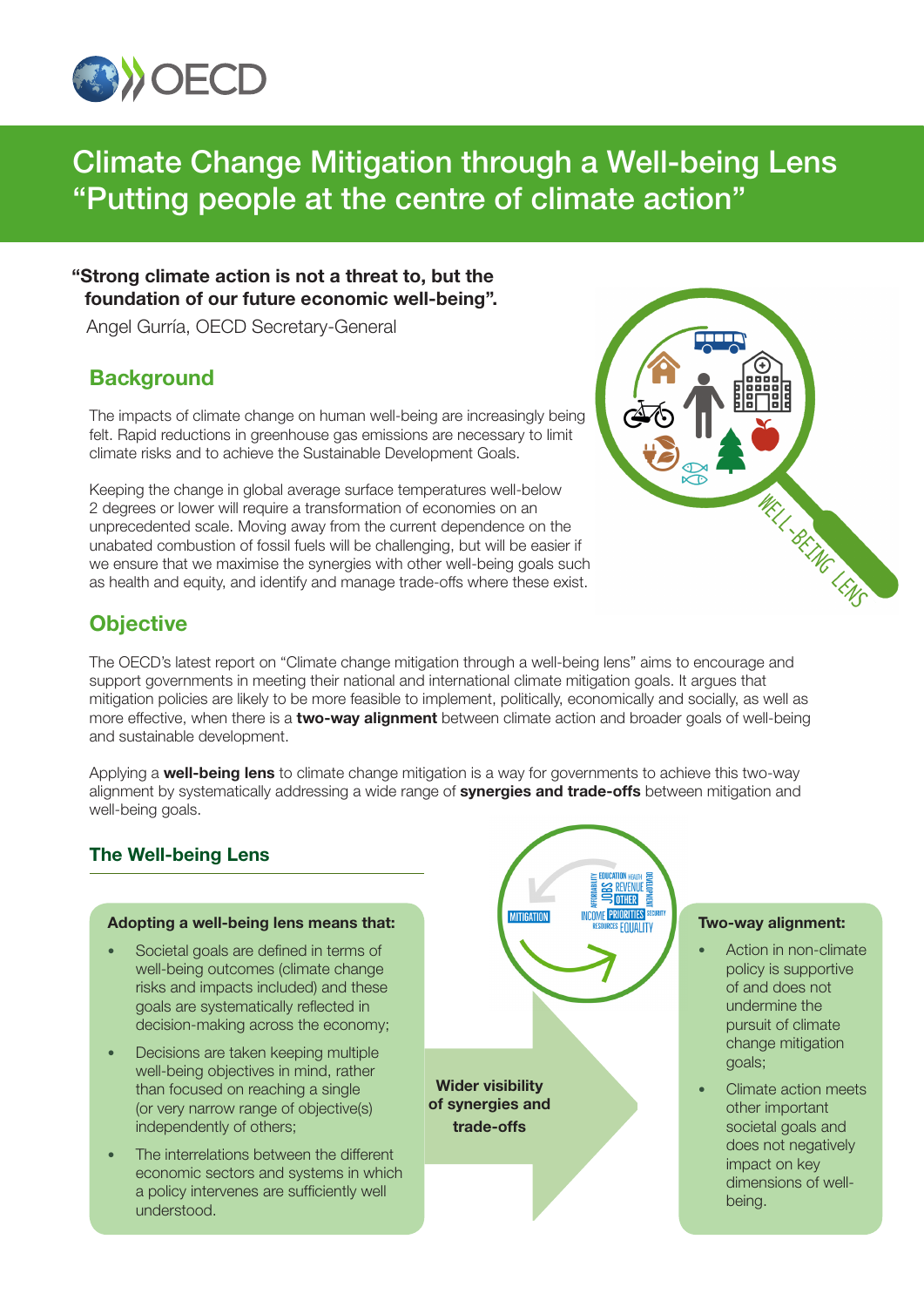

# Climate Change Mitigation through a Well-being Lens "Putting people at the centre of climate action"

# **"Strong climate action is not a threat to, but the foundation of our future economic well-being".**

Angel Gurría, OECD Secretary-General

# **Background**

The impacts of climate change on human well-being are increasingly being felt. Rapid reductions in greenhouse gas emissions are necessary to limit climate risks and to achieve the Sustainable Development Goals.

Keeping the change in global average surface temperatures well-below 2 degrees or lower will require a transformation of economies on an unprecedented scale. Moving away from the current dependence on the unabated combustion of fossil fuels will be challenging, but will be easier if we ensure that we maximise the synergies with other well-being goals such as health and equity, and identify and manage trade-offs where these exist.

# WELL-BEING LENS

# **Objective**

The OECD's latest report on "Climate change mitigation through a well-being lens" aims to encourage and support governments in meeting their national and international climate mitigation goals. It argues that mitigation policies are likely to be more feasible to implement, politically, economically and socially, as well as more effective, when there is a **two-way alignment** between climate action and broader goals of well-being and sustainable development.

Applying a **well-being lens** to climate change mitigation is a way for governments to achieve this two-way alignment by systematically addressing a wide range of **synergies and trade-offs** between mitigation and well-being goals.

# The Well-being Lens

### **Adopting a well-being lens means that:**

- Societal goals are defined in terms of well-being outcomes (climate change risks and impacts included) and these goals are systematically reflected in decision-making across the economy;
- Decisions are taken keeping multiple well-being objectives in mind, rather than focused on reaching a single (or very narrow range of objective(s) independently of others;
- The interrelations between the different economic sectors and systems in which a policy intervenes are sufficiently well understood.

EDUCATION<br>SES REVENUE<br>SES DITHER **INCOME PRIORITIES MITIGATION ES EQUALITY Wider visibility of synergies and trade-offs**

### **Two-way alignment:**

- Action in non-climate policy is supportive of and does not undermine the pursuit of climate change mitigation goals;
- Climate action meets other important societal goals and does not negatively impact on key dimensions of wellbeing.